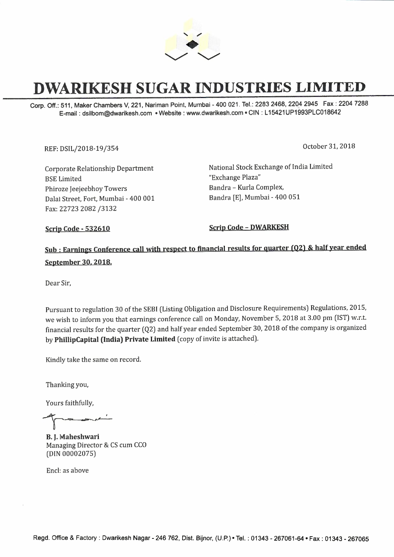

## **DWARIKESH SUGAR INDUSTRIES LIMITED**

Corp. Off.: 511, Maker Chambers V, 221, Nariman Point, Mumbai - 400 021. Tel.: 2283 2468, 2204 2945 Fax: 2204 7288 E-mail: dsilbom@dwarikesh.com •Website: www.dwarikesh.com • CIN: L 15421UP1993PLC018642

REF: DSIL/2018-19 /354 October 31, 2018

Corporate Relationship Department BSE Limited Phiroze Jeejeebhoy Towers Dalal Street, Fort, Mumbai - 400 001 Fax: 22723 2082 /3132

National Stock Exchange of India Limited "Exchange Plaza" Bandra - Kurla Complex, Bandra [E], Mumbai - 400 051

**Scrip Code - 532610** Scrip Code - DWARKESH

## **Sub : Earnings Conference call with respect to financial results for quarter (Q2)** & **half year ended September 30. 2018.**

Dear Sir,

Pursuant to regulation 30 of the SEBI (Listing Obligation and Disclosure Requirements) Regulations, 2015, we wish to inform you that earnings conference call on Monday, November 5, 2018 at 3.00 pm (1ST) w.r.t. financial results for the quarter (Q2) and half year ended September 30, 2018 of the company is organized by **PhillipCapital (India) Private Limited (** copy of invite is attached).

Kindly take the same on record.

Thanking you,

Yours faithfully,

**B. J. Maheshwari**  Managing Director & CS cum CCO (DIN 00002075)

Encl: as above